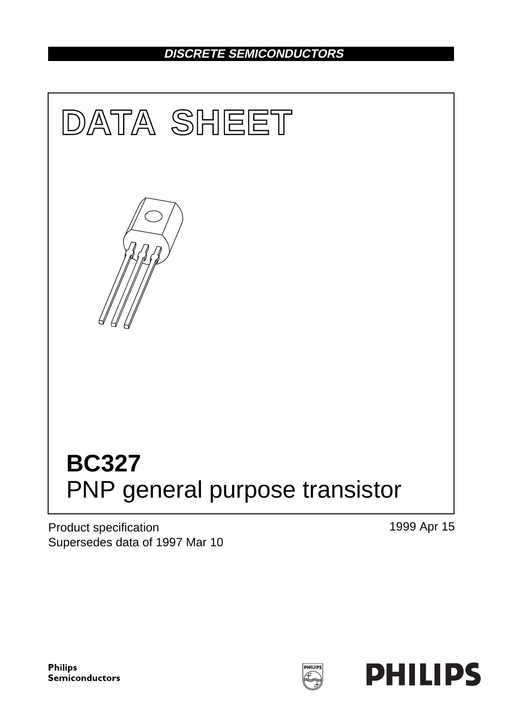## **DISCRETE SEMICONDUCTORS**



Product specification Supersedes data of 1997 Mar 10 1999 Apr 15

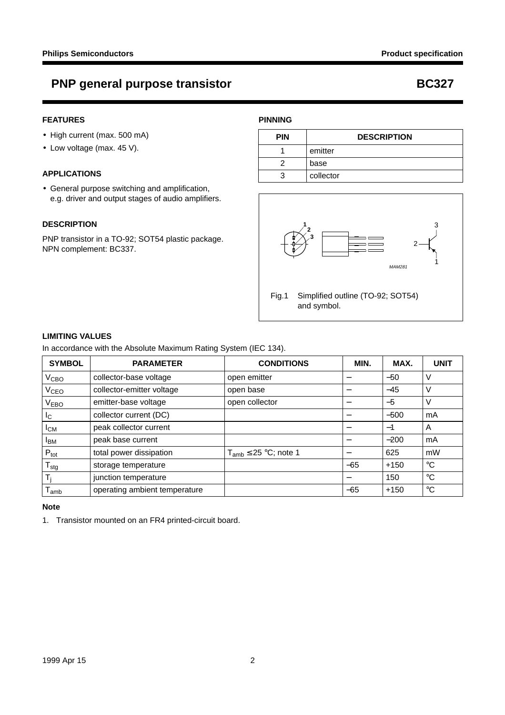## **PNP general purpose transistor COVID-100 COVID-100 BC327**

### **FEATURES**

- High current (max. 500 mA)
- Low voltage (max. 45 V).

#### **APPLICATIONS**

• General purpose switching and amplification, e.g. driver and output stages of audio amplifiers.

#### **DESCRIPTION**

PNP transistor in a TO-92; SOT54 plastic package. NPN complement: BC337.

### **PINNING**

| <b>PIN</b> | <b>DESCRIPTION</b> |  |
|------------|--------------------|--|
|            | emitter            |  |
|            | base               |  |
|            | collector          |  |



Fig.1 Simplified outline (TO-92; SOT54) and symbol.

#### **LIMITING VALUES**

In accordance with the Absolute Maximum Rating System (IEC 134).

| <b>SYMBOL</b>    | <b>PARAMETER</b>              | <b>CONDITIONS</b>            | MIN.  | MAX.   | <b>UNIT</b> |
|------------------|-------------------------------|------------------------------|-------|--------|-------------|
| V <sub>CBO</sub> | collector-base voltage        | open emitter                 |       | $-50$  | V           |
| V <sub>CEO</sub> | collector-emitter voltage     | open base                    | –     | $-45$  | V           |
| <b>VEBO</b>      | emitter-base voltage          | open collector               | —     | $-5$   | V           |
| $I_{\rm C}$      | collector current (DC)        |                              |       | $-500$ | mA          |
| $I_{CM}$         | peak collector current        |                              |       | $-1$   | A           |
| <b>I</b> BM      | peak base current             |                              | —     | $-200$ | mA          |
| $P_{\text{tot}}$ | total power dissipation       | $T_{amb} \leq 25$ °C; note 1 | —     | 625    | mW          |
| $I_{\text{stg}}$ | storage temperature           |                              | $-65$ | $+150$ | $^{\circ}C$ |
| Τi               | junction temperature          |                              | —     | 150    | $^{\circ}C$ |
| amb              | operating ambient temperature |                              | $-65$ | $+150$ | $^{\circ}C$ |

#### **Note**

1. Transistor mounted on an FR4 printed-circuit board.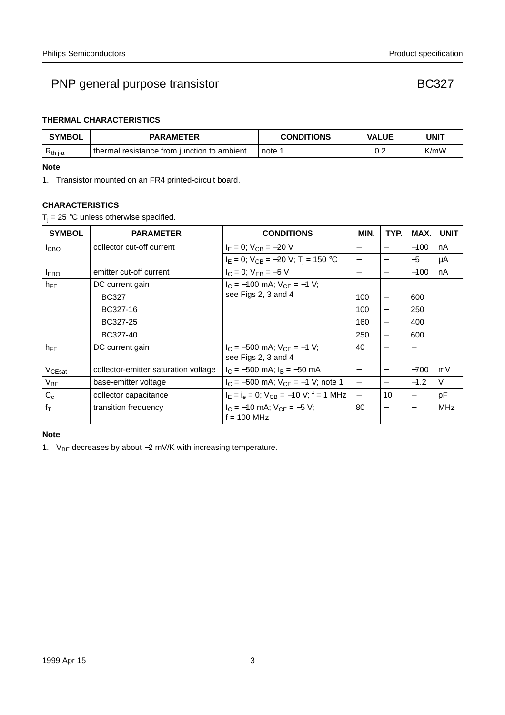### **THERMAL CHARACTERISTICS**

| <b>SYMBOL</b> | <b>PARAMETER</b>                            | <b>CONDITIONS</b> | <b>VALUE</b> | UNIT |
|---------------|---------------------------------------------|-------------------|--------------|------|
| $R_{th\ j-a}$ | thermal resistance from junction to ambient | note :            | ר ה<br>◡…    | K/mW |

#### **Note**

1. Transistor mounted on an FR4 printed-circuit board.

#### **CHARACTERISTICS**

 $T_i = 25$  °C unless otherwise specified.

| <b>SYMBOL</b>      | <b>PARAMETER</b>                     | <b>CONDITIONS</b>                                 | MIN.                     | TYP.                             | MAX.                     | <b>UNIT</b> |
|--------------------|--------------------------------------|---------------------------------------------------|--------------------------|----------------------------------|--------------------------|-------------|
| <b>I</b> CBO       | collector cut-off current            | $I_E = 0$ ; $V_{CB} = -20$ V                      |                          |                                  | $-100$                   | nA          |
|                    |                                      | $I_E = 0$ ; $V_{CB} = -20$ V; $T_i = 150$ °C      |                          |                                  | $-5$                     | μA          |
| <b>IEBO</b>        | emitter cut-off current              | $I_C = 0$ ; $V_{FB} = -5$ V                       |                          |                                  | $-100$                   | nA          |
| $h_{FE}$           | DC current gain                      | $I_C = -100$ mA; $V_{CE} = -1$ V;                 |                          |                                  |                          |             |
|                    | <b>BC327</b>                         | see Figs 2, 3 and 4                               | 100                      |                                  | 600                      |             |
|                    | BC327-16                             |                                                   | 100                      |                                  | 250                      |             |
|                    | BC327-25                             |                                                   | 160                      |                                  | 400                      |             |
|                    | BC327-40                             |                                                   | 250                      |                                  | 600                      |             |
| $h_{\text{FF}}$    | DC current gain                      | $I_C = -500$ mA; $V_{CF} = -1$ V;                 | 40                       |                                  |                          |             |
|                    |                                      | see Figs 2, 3 and 4                               |                          |                                  |                          |             |
| V <sub>CEsat</sub> | collector-emitter saturation voltage | $I_C = -500$ mA; $I_B = -50$ mA                   | $\overline{\phantom{m}}$ |                                  | $-700$                   | mV          |
| $V_{BE}$           | base-emitter voltage                 | $I_C = -500$ mA; $V_{CE} = -1$ V; note 1          |                          |                                  | $-1.2$                   | $\vee$      |
| $C_c$              | collector capacitance                | $I_E = I_e = 0$ ; $V_{CB} = -10$ V; f = 1 MHz     | $\qquad \qquad -$        | 10                               | $\overline{\phantom{m}}$ | рF          |
| $f_T$              | transition frequency                 | $I_C = -10$ mA; $V_{CE} = -5$ V;<br>$f = 100$ MHz | 80                       | $\overbrace{\phantom{12322111}}$ |                          | MHz         |
|                    |                                      |                                                   |                          |                                  |                          |             |

### **Note**

1. V<sub>BE</sub> decreases by about −2 mV/K with increasing temperature.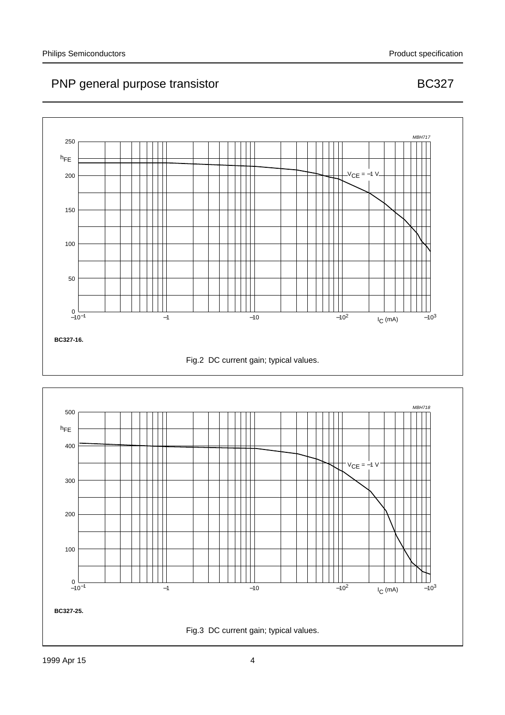

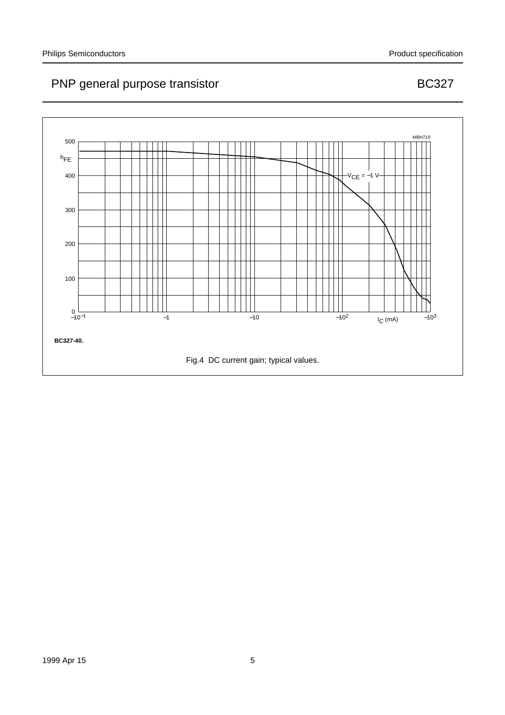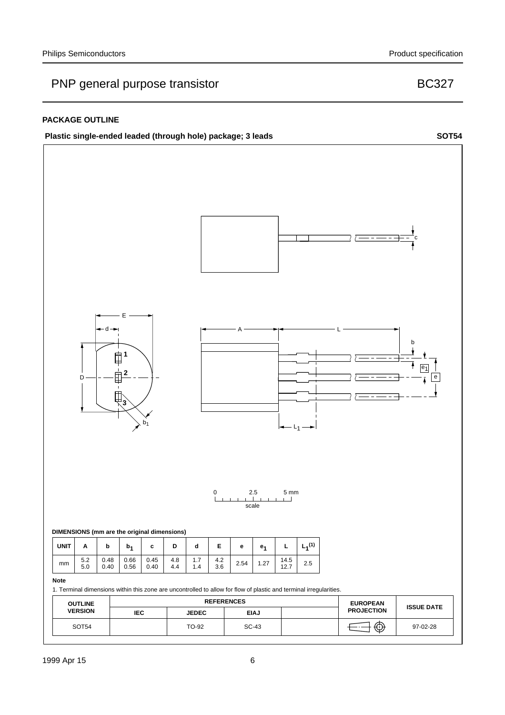#### **PACKAGE OUTLINE**



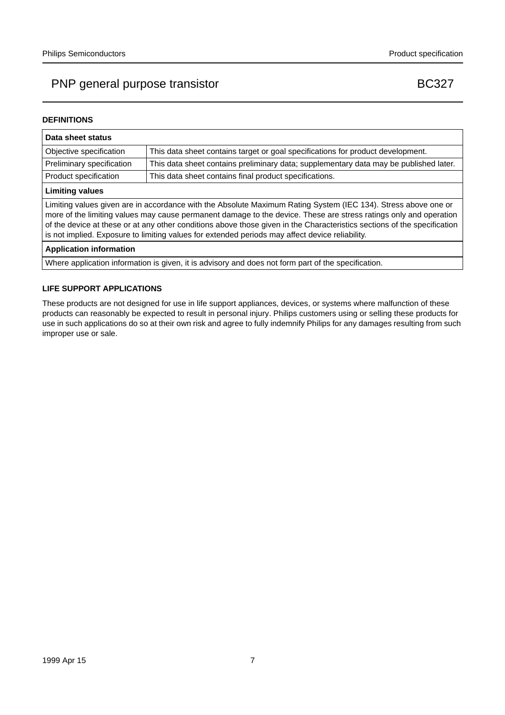## PNP general purpose transistor and the state of the BC327

#### **DEFINITIONS**

| Data sheet status                                                                                                                                                                                                                                                                                                                                                                                                                                                  |                                                                                       |  |  |
|--------------------------------------------------------------------------------------------------------------------------------------------------------------------------------------------------------------------------------------------------------------------------------------------------------------------------------------------------------------------------------------------------------------------------------------------------------------------|---------------------------------------------------------------------------------------|--|--|
| Objective specification                                                                                                                                                                                                                                                                                                                                                                                                                                            | This data sheet contains target or goal specifications for product development.       |  |  |
| Preliminary specification                                                                                                                                                                                                                                                                                                                                                                                                                                          | This data sheet contains preliminary data; supplementary data may be published later. |  |  |
| Product specification                                                                                                                                                                                                                                                                                                                                                                                                                                              | This data sheet contains final product specifications.                                |  |  |
| <b>Limiting values</b>                                                                                                                                                                                                                                                                                                                                                                                                                                             |                                                                                       |  |  |
| Limiting values given are in accordance with the Absolute Maximum Rating System (IEC 134). Stress above one or<br>more of the limiting values may cause permanent damage to the device. These are stress ratings only and operation<br>of the device at these or at any other conditions above those given in the Characteristics sections of the specification<br>is not implied. Exposure to limiting values for extended periods may affect device reliability. |                                                                                       |  |  |
| <b>Application information</b>                                                                                                                                                                                                                                                                                                                                                                                                                                     |                                                                                       |  |  |
| Where application information is given, it is advisory and does not form part of the specification.                                                                                                                                                                                                                                                                                                                                                                |                                                                                       |  |  |

#### **LIFE SUPPORT APPLICATIONS**

These products are not designed for use in life support appliances, devices, or systems where malfunction of these products can reasonably be expected to result in personal injury. Philips customers using or selling these products for use in such applications do so at their own risk and agree to fully indemnify Philips for any damages resulting from such improper use or sale.